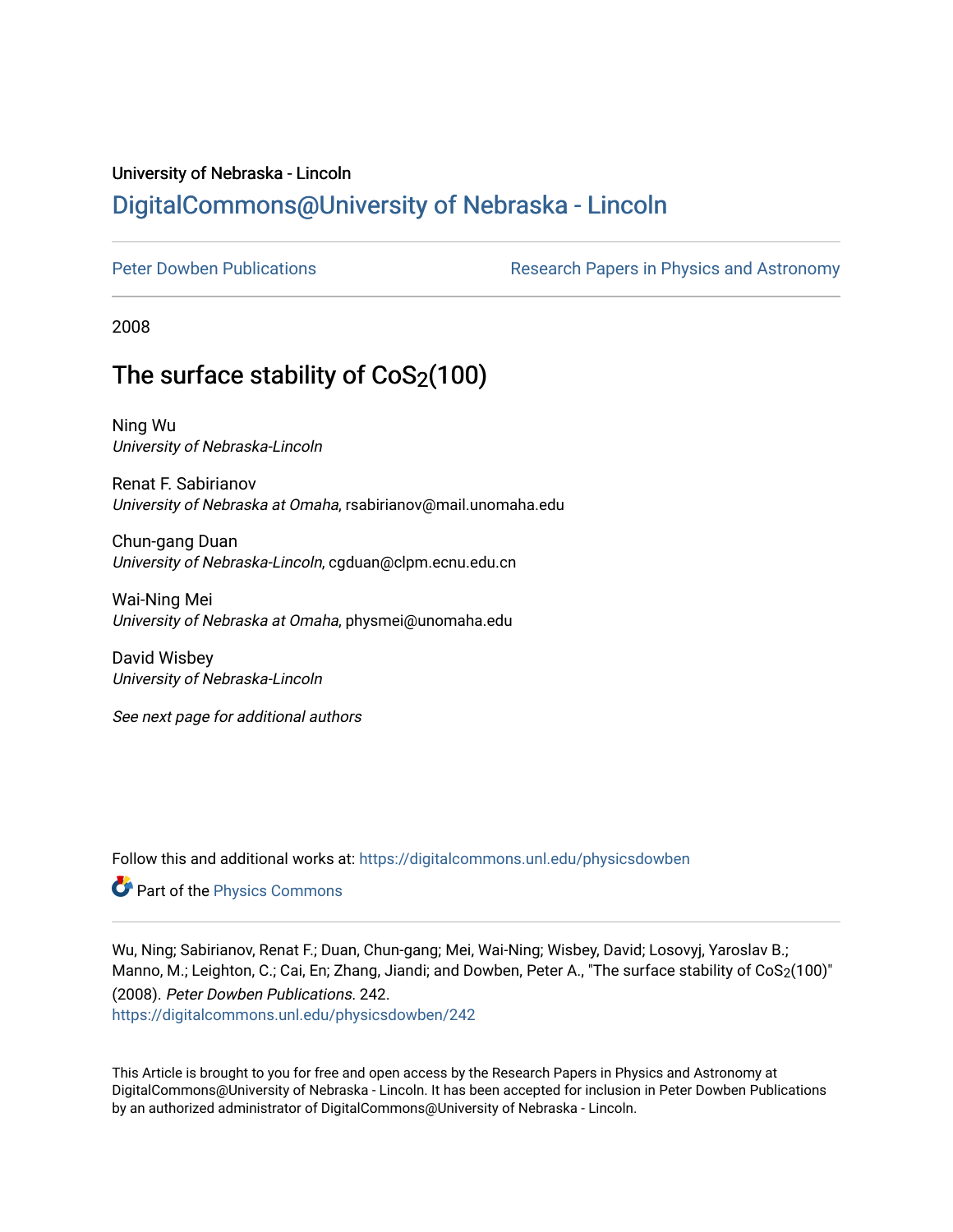## University of Nebraska - Lincoln [DigitalCommons@University of Nebraska - Lincoln](https://digitalcommons.unl.edu/)

[Peter Dowben Publications](https://digitalcommons.unl.edu/physicsdowben) **Research Papers in Physics and Astronomy** 

2008

# The surface stability of  $CoS<sub>2</sub>(100)$

Ning Wu University of Nebraska-Lincoln

Renat F. Sabirianov University of Nebraska at Omaha, rsabirianov@mail.unomaha.edu

Chun-gang Duan University of Nebraska-Lincoln, cgduan@clpm.ecnu.edu.cn

Wai-Ning Mei University of Nebraska at Omaha, physmei@unomaha.edu

David Wisbey University of Nebraska-Lincoln

See next page for additional authors

Follow this and additional works at: [https://digitalcommons.unl.edu/physicsdowben](https://digitalcommons.unl.edu/physicsdowben?utm_source=digitalcommons.unl.edu%2Fphysicsdowben%2F242&utm_medium=PDF&utm_campaign=PDFCoverPages) 

Part of the [Physics Commons](http://network.bepress.com/hgg/discipline/193?utm_source=digitalcommons.unl.edu%2Fphysicsdowben%2F242&utm_medium=PDF&utm_campaign=PDFCoverPages)

Wu, Ning; Sabirianov, Renat F.; Duan, Chun-gang; Mei, Wai-Ning; Wisbey, David; Losovyj, Yaroslav B.; Manno, M.; Leighton, C.; Cai, En; Zhang, Jiandi; and Dowben, Peter A., "The surface stability of CoS2(100)" (2008). Peter Dowben Publications. 242.

[https://digitalcommons.unl.edu/physicsdowben/242](https://digitalcommons.unl.edu/physicsdowben/242?utm_source=digitalcommons.unl.edu%2Fphysicsdowben%2F242&utm_medium=PDF&utm_campaign=PDFCoverPages) 

This Article is brought to you for free and open access by the Research Papers in Physics and Astronomy at DigitalCommons@University of Nebraska - Lincoln. It has been accepted for inclusion in Peter Dowben Publications by an authorized administrator of DigitalCommons@University of Nebraska - Lincoln.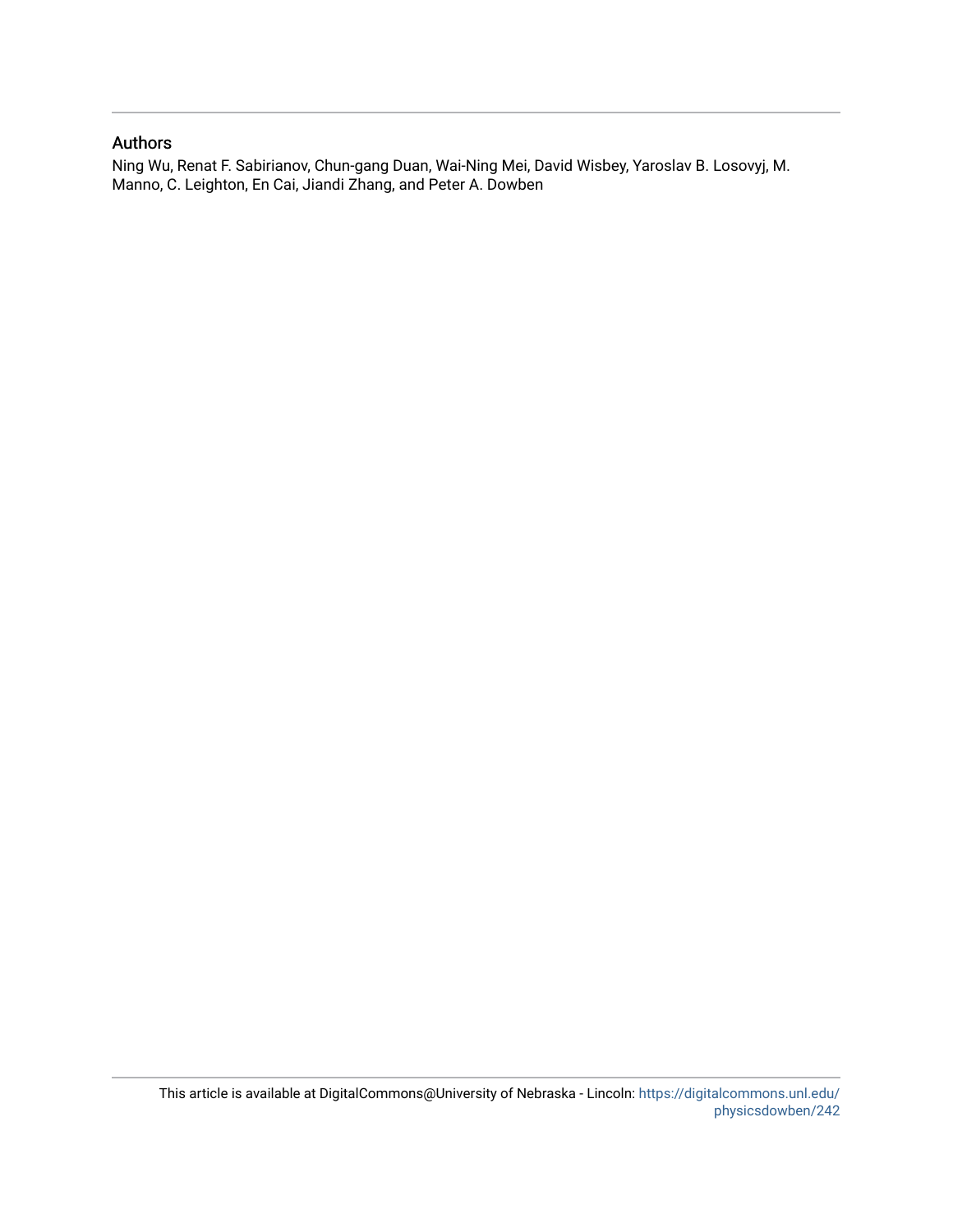## Authors

Ning Wu, Renat F. Sabirianov, Chun-gang Duan, Wai-Ning Mei, David Wisbey, Yaroslav B. Losovyj, M. Manno, C. Leighton, En Cai, Jiandi Zhang, and Peter A. Dowben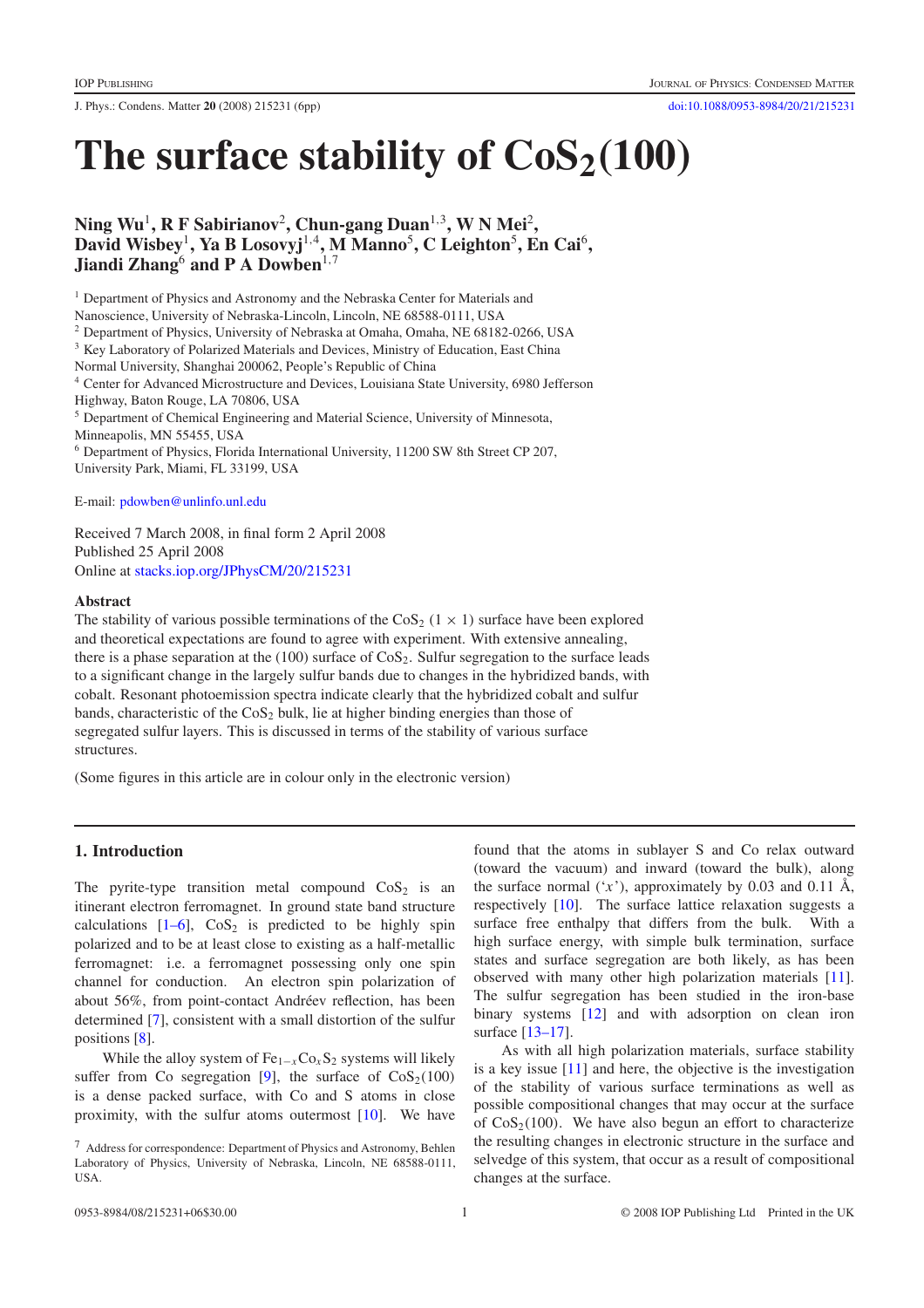J. Phys.: Condens. Matter **20** (2008) 215231 (6pp) [doi:10.1088/0953-8984/20/21/215231](http://dx.doi.org/10.1088/0953-8984/20/21/215231)

# The surface stability of  $\cos_2(100)$

**Ning Wu**<sup>1</sup>**, R F Sabirianov**<sup>2</sup> **, Chun-gang Duan**<sup>1</sup>*,*<sup>3</sup>**, W N Mei**<sup>2</sup> **, David Wisbey**<sup>1</sup>**, Ya B Losovyj**<sup>1</sup>*,*<sup>4</sup>**, M Manno**<sup>5</sup> **, C Leighton**<sup>5</sup> **, En Cai**<sup>6</sup>**, Jiandi Zhang**<sup>6</sup> **and P A Dowben**<sup>1,7</sup>

<sup>1</sup> Department of Physics and Astronomy and the Nebraska Center for Materials and

Nanoscience, University of Nebraska-Lincoln, Lincoln, NE 68588-0111, USA

<sup>2</sup> Department of Physics, University of Nebraska at Omaha, Omaha, NE 68182-0266, USA

<sup>3</sup> Key Laboratory of Polarized Materials and Devices, Ministry of Education, East China

Normal University, Shanghai 200062, People's Republic of China

<sup>4</sup> Center for Advanced Microstructure and Devices, Louisiana State University, 6980 Jefferson Highway, Baton Rouge, LA 70806, USA

<sup>5</sup> Department of Chemical Engineering and Material Science, University of Minnesota, Minneapolis, MN 55455, USA

<sup>6</sup> Department of Physics, Florida International University, 11200 SW 8th Street CP 207, University Park, Miami, FL 33199, USA

E-mail: [pdowben@unlinfo.unl.edu](mailto:pdowben@unlinfo.unl.edu)

Received 7 March 2008, in final form 2 April 2008 Published 25 April 2008 Online at [stacks.iop.org/JPhysCM/20/215231](http://stacks.iop.org/JPhysCM/20/215231)

#### **Abstract**

The stability of various possible terminations of the  $\cos_2(1 \times 1)$  surface have been explored and theoretical expectations are found to agree with experiment. With extensive annealing, there is a phase separation at the (100) surface of  $\cos_2$ . Sulfur segregation to the surface leads to a significant change in the largely sulfur bands due to changes in the hybridized bands, with cobalt. Resonant photoemission spectra indicate clearly that the hybridized cobalt and sulfur bands, characteristic of the  $\cos_2$  bulk, lie at higher binding energies than those of segregated sulfur layers. This is discussed in terms of the stability of various surface structures.

(Some figures in this article are in colour only in the electronic version)

### **1. Introduction**

The pyrite-type transition metal compound  $\cos_2$  is an itinerant electron ferromagnet. In ground state band structure calculations  $[1-6]$ ,  $CoS<sub>2</sub>$  is predicted to be highly spin polarized and to be at least close to existing as a half-metallic ferromagnet: i.e. a ferromagnet possessing only one spin channel for conduction. An electron spin polarization of about 56%, from point-contact Andréev reflection, has been determined [\[7\]](#page-7-1), consistent with a small distortion of the sulfur positions [\[8\]](#page-7-2).

While the alloy system of  $Fe_{1-x}Co_xS_2$  systems will likely suffer from Co segregation [\[9\]](#page-7-3), the surface of  $\cos_2(100)$ is a dense packed surface, with Co and S atoms in close proximity, with the sulfur atoms outermost [\[10\]](#page-7-4). We have

found that the atoms in sublayer S and Co relax outward (toward the vacuum) and inward (toward the bulk), along the surface normal  $(x^{\prime})$ , approximately by 0.03 and 0.11 Å, respectively [\[10\]](#page-7-4). The surface lattice relaxation suggests a surface free enthalpy that differs from the bulk. With a high surface energy, with simple bulk termination, surface states and surface segregation are both likely, as has been observed with many other high polarization materials [\[11\]](#page-7-5). The sulfur segregation has been studied in the iron-base binary systems [\[12\]](#page-7-6) and with adsorption on clean iron surface [\[13–17\]](#page-7-7).

As with all high polarization materials, surface stability is a key issue [\[11\]](#page-7-5) and here, the objective is the investigation of the stability of various surface terminations as well as possible compositional changes that may occur at the surface of  $\cos_2(100)$ . We have also begun an effort to characterize the resulting changes in electronic structure in the surface and selvedge of this system, that occur as a result of compositional changes at the surface.

<sup>7</sup> Address for correspondence: Department of Physics and Astronomy, Behlen Laboratory of Physics, University of Nebraska, Lincoln, NE 68588-0111, USA.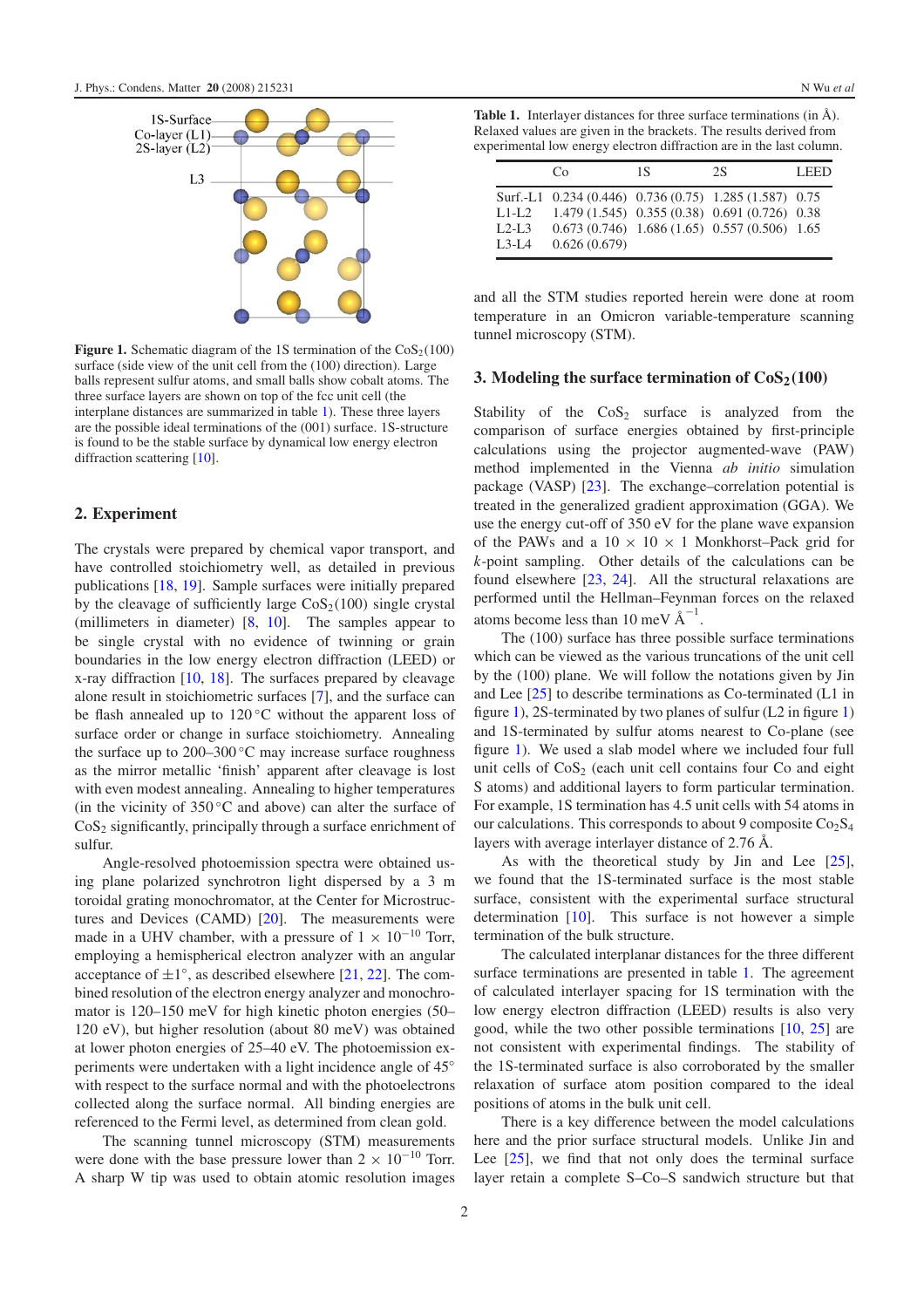<span id="page-3-1"></span>

**Figure 1.** Schematic diagram of the 1S termination of the  $\cos_2(100)$ surface (side view of the unit cell from the (100) direction). Large balls represent sulfur atoms, and small balls show cobalt atoms. The three surface layers are shown on top of the fcc unit cell (the interplane distances are summarized in table [1\)](#page-3-0). These three layers are the possible ideal terminations of the (001) surface. 1S-structure is found to be the stable surface by dynamical low energy electron diffraction scattering [\[10\]](#page-7-4).

#### **2. Experiment**

The crystals were prepared by chemical vapor transport, and have controlled stoichiometry well, as detailed in previous publications [\[18,](#page-7-8) [19\]](#page-7-9). Sample surfaces were initially prepared by the cleavage of sufficiently large  $\cos_2(100)$  single crystal (millimeters in diameter) [\[8,](#page-7-2) [10\]](#page-7-4). The samples appear to be single crystal with no evidence of twinning or grain boundaries in the low energy electron diffraction (LEED) or x-ray diffraction  $[10, 18]$  $[10, 18]$  $[10, 18]$ . The surfaces prepared by cleavage alone result in stoichiometric surfaces [\[7\]](#page-7-1), and the surface can be flash annealed up to 120 ℃ without the apparent loss of surface order or change in surface stoichiometry. Annealing the surface up to 200–300 ◦C may increase surface roughness as the mirror metallic 'finish' apparent after cleavage is lost with even modest annealing. Annealing to higher temperatures (in the vicinity of 350 ◦C and above) can alter the surface of  $CoS<sub>2</sub>$  significantly, principally through a surface enrichment of sulfur.

Angle-resolved photoemission spectra were obtained using plane polarized synchrotron light dispersed by a 3 m toroidal grating monochromator, at the Center for Microstructures and Devices (CAMD)  $[20]$ . The measurements were made in a UHV chamber, with a pressure of  $1 \times 10^{-10}$  Torr, employing a hemispherical electron analyzer with an angular acceptance of  $\pm 1^\circ$ , as described elsewhere [\[21,](#page-7-11) [22\]](#page-7-12). The combined resolution of the electron energy analyzer and monochromator is 120–150 meV for high kinetic photon energies (50– 120 eV), but higher resolution (about 80 meV) was obtained at lower photon energies of 25–40 eV. The photoemission experiments were undertaken with a light incidence angle of 45° with respect to the surface normal and with the photoelectrons collected along the surface normal. All binding energies are referenced to the Fermi level, as determined from clean gold.

The scanning tunnel microscopy (STM) measurements were done with the base pressure lower than  $2 \times 10^{-10}$  Torr. A sharp W tip was used to obtain atomic resolution images

<span id="page-3-0"></span>**Table 1.** Interlayer distances for three surface terminations (in Å). Relaxed values are given in the brackets. The results derived from experimental low energy electron diffraction are in the last column.

|                                  | Cο                                                                     | 1S | 2S                                                                                                  | LEED. |
|----------------------------------|------------------------------------------------------------------------|----|-----------------------------------------------------------------------------------------------------|-------|
| $L1-I.2$<br>$L2-L3$<br>$I.3-I.4$ | Surf.-L1 0.234 (0.446) 0.736 (0.75) 1.285 (1.587) 0.75<br>0.626(0.679) |    | 1.479 (1.545) 0.355 (0.38) 0.691 (0.726) 0.38<br>$0.673(0.746)$ 1.686 $(1.65)$ 0.557 $(0.506)$ 1.65 |       |

and all the STM studies reported herein were done at room temperature in an Omicron variable-temperature scanning tunnel microscopy (STM).

#### **3. Modeling the surface termination of**  $\cos(100)$

Stability of the  $\cos_2$  surface is analyzed from the comparison of surface energies obtained by first-principle calculations using the projector augmented-wave (PAW) method implemented in the Vienna *ab initio* simulation package (VASP) [\[23\]](#page-7-13). The exchange–correlation potential is treated in the generalized gradient approximation (GGA). We use the energy cut-off of 350 eV for the plane wave expansion of the PAWs and a  $10 \times 10 \times 1$  Monkhorst–Pack grid for *k*-point sampling. Other details of the calculations can be found elsewhere [\[23,](#page-7-13) [24\]](#page-7-14). All the structural relaxations are performed until the Hellman–Feynman forces on the relaxed atoms become less than 10 meV  $\AA^{-1}$ .

The (100) surface has three possible surface terminations which can be viewed as the various truncations of the unit cell by the (100) plane. We will follow the notations given by Jin and Lee [\[25\]](#page-7-15) to describe terminations as Co-terminated (L1 in figure [1\)](#page-3-1), 2S-terminated by two planes of sulfur (L2 in figure [1\)](#page-3-1) and 1S-terminated by sulfur atoms nearest to Co-plane (see figure [1\)](#page-3-1). We used a slab model where we included four full unit cells of  $\cos_2$  (each unit cell contains four Co and eight S atoms) and additional layers to form particular termination. For example, 1S termination has 4.5 unit cells with 54 atoms in our calculations. This corresponds to about 9 composite  $Co<sub>2</sub>S<sub>4</sub>$ layers with average interlayer distance of 2.76 Å.

As with the theoretical study by Jin and Lee [\[25\]](#page-7-15), we found that the 1S-terminated surface is the most stable surface, consistent with the experimental surface structural determination [\[10\]](#page-7-4). This surface is not however a simple termination of the bulk structure.

The calculated interplanar distances for the three different surface terminations are presented in table [1.](#page-3-0) The agreement of calculated interlayer spacing for 1S termination with the low energy electron diffraction (LEED) results is also very good, while the two other possible terminations [\[10,](#page-7-4) [25\]](#page-7-15) are not consistent with experimental findings. The stability of the 1S-terminated surface is also corroborated by the smaller relaxation of surface atom position compared to the ideal positions of atoms in the bulk unit cell.

There is a key difference between the model calculations here and the prior surface structural models. Unlike Jin and Lee [\[25\]](#page-7-15), we find that not only does the terminal surface layer retain a complete S–Co–S sandwich structure but that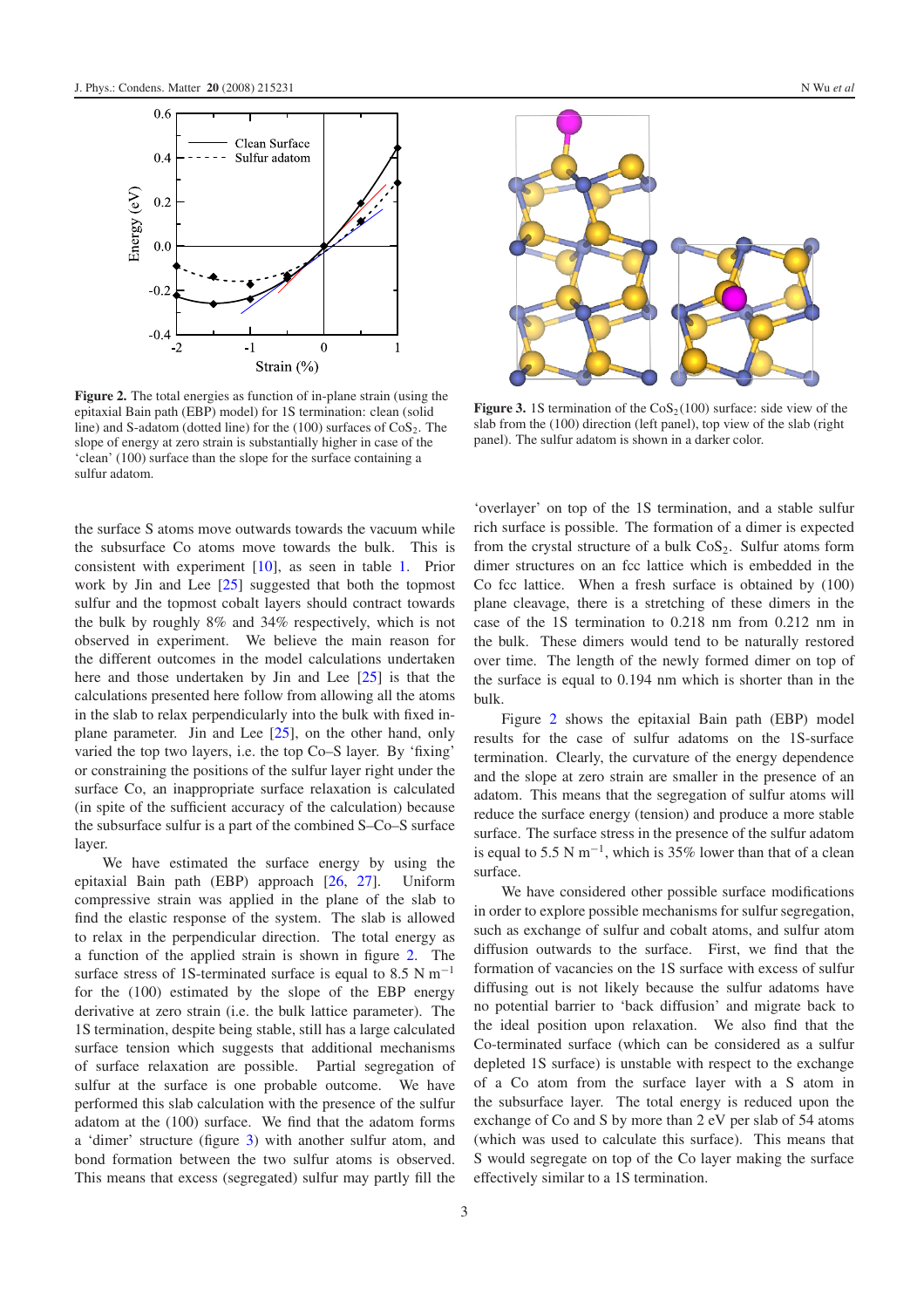<span id="page-4-0"></span>

**Figure 2.** The total energies as function of in-plane strain (using the epitaxial Bain path (EBP) model) for 1S termination: clean (solid line) and S-adatom (dotted line) for the  $(100)$  surfaces of  $CoS<sub>2</sub>$ . The slope of energy at zero strain is substantially higher in case of the 'clean' (100) surface than the slope for the surface containing a sulfur adatom.

the surface S atoms move outwards towards the vacuum while the subsurface Co atoms move towards the bulk. This is consistent with experiment [\[10\]](#page-7-4), as seen in table [1.](#page-3-0) Prior work by Jin and Lee [\[25\]](#page-7-15) suggested that both the topmost sulfur and the topmost cobalt layers should contract towards the bulk by roughly 8% and 34% respectively, which is not observed in experiment. We believe the main reason for the different outcomes in the model calculations undertaken here and those undertaken by Jin and Lee [\[25\]](#page-7-15) is that the calculations presented here follow from allowing all the atoms in the slab to relax perpendicularly into the bulk with fixed inplane parameter. Jin and Lee [\[25\]](#page-7-15), on the other hand, only varied the top two layers, i.e. the top Co–S layer. By 'fixing' or constraining the positions of the sulfur layer right under the surface Co, an inappropriate surface relaxation is calculated (in spite of the sufficient accuracy of the calculation) because the subsurface sulfur is a part of the combined S–Co–S surface layer.

We have estimated the surface energy by using the epitaxial Bain path (EBP) approach [\[26,](#page-7-16) [27\]](#page-7-17). Uniform compressive strain was applied in the plane of the slab to find the elastic response of the system. The slab is allowed to relax in the perpendicular direction. The total energy as a function of the applied strain is shown in figure [2.](#page-4-0) The surface stress of 1S-terminated surface is equal to 8.5 N m<sup>-1</sup> for the (100) estimated by the slope of the EBP energy derivative at zero strain (i.e. the bulk lattice parameter). The 1S termination, despite being stable, still has a large calculated surface tension which suggests that additional mechanisms of surface relaxation are possible. Partial segregation of sulfur at the surface is one probable outcome. We have performed this slab calculation with the presence of the sulfur adatom at the (100) surface. We find that the adatom forms a 'dimer' structure (figure [3\)](#page-4-1) with another sulfur atom, and bond formation between the two sulfur atoms is observed. This means that excess (segregated) sulfur may partly fill the

<span id="page-4-1"></span>

**Figure 3.** 1S termination of the  $\cos_2(100)$  surface: side view of the slab from the (100) direction (left panel), top view of the slab (right panel). The sulfur adatom is shown in a darker color.

'overlayer' on top of the 1S termination, and a stable sulfur rich surface is possible. The formation of a dimer is expected from the crystal structure of a bulk  $CoS<sub>2</sub>$ . Sulfur atoms form dimer structures on an fcc lattice which is embedded in the Co fcc lattice. When a fresh surface is obtained by (100) plane cleavage, there is a stretching of these dimers in the case of the 1S termination to 0.218 nm from 0.212 nm in the bulk. These dimers would tend to be naturally restored over time. The length of the newly formed dimer on top of the surface is equal to 0.194 nm which is shorter than in the bulk.

Figure [2](#page-4-0) shows the epitaxial Bain path (EBP) model results for the case of sulfur adatoms on the 1S-surface termination. Clearly, the curvature of the energy dependence and the slope at zero strain are smaller in the presence of an adatom. This means that the segregation of sulfur atoms will reduce the surface energy (tension) and produce a more stable surface. The surface stress in the presence of the sulfur adatom is equal to 5.5 N m<sup>-1</sup>, which is 35% lower than that of a clean surface.

We have considered other possible surface modifications in order to explore possible mechanisms for sulfur segregation, such as exchange of sulfur and cobalt atoms, and sulfur atom diffusion outwards to the surface. First, we find that the formation of vacancies on the 1S surface with excess of sulfur diffusing out is not likely because the sulfur adatoms have no potential barrier to 'back diffusion' and migrate back to the ideal position upon relaxation. We also find that the Co-terminated surface (which can be considered as a sulfur depleted 1S surface) is unstable with respect to the exchange of a Co atom from the surface layer with a S atom in the subsurface layer. The total energy is reduced upon the exchange of Co and S by more than 2 eV per slab of 54 atoms (which was used to calculate this surface). This means that S would segregate on top of the Co layer making the surface effectively similar to a 1S termination.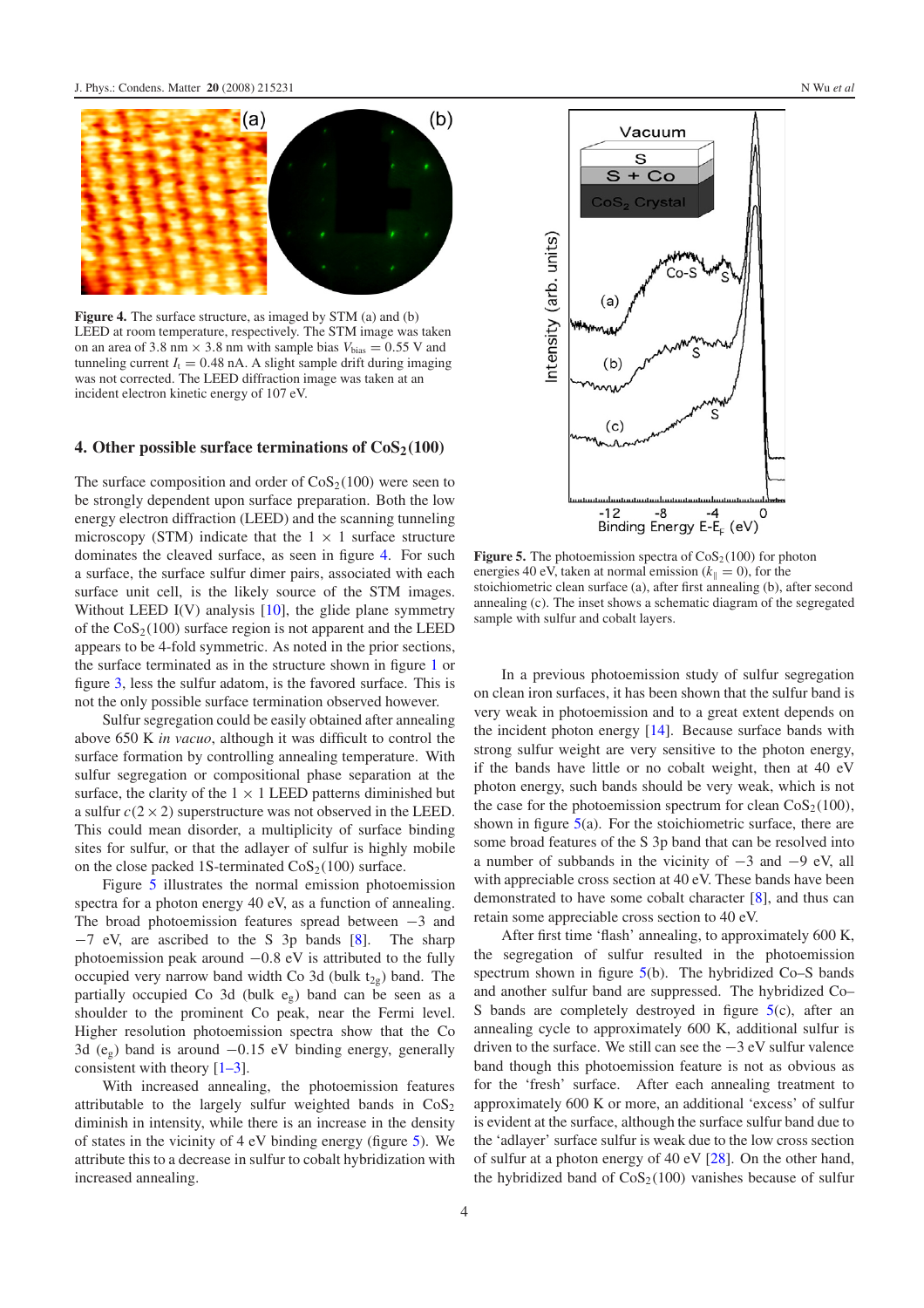<span id="page-5-0"></span>

**Figure 4.** The surface structure, as imaged by STM (a) and (b) LEED at room temperature, respectively. The STM image was taken on an area of 3.8 nm  $\times$  3.8 nm with sample bias  $V_{bias} = 0.55$  V and tunneling current  $I_t = 0.48$  nA. A slight sample drift during imaging was not corrected. The LEED diffraction image was taken at an incident electron kinetic energy of 107 eV.

#### **4. Other possible surface terminations of CoS2***(***100***)*

The surface composition and order of  $\cos_2(100)$  were seen to be strongly dependent upon surface preparation. Both the low energy electron diffraction (LEED) and the scanning tunneling microscopy (STM) indicate that the  $1 \times 1$  surface structure dominates the cleaved surface, as seen in figure [4.](#page-5-0) For such a surface, the surface sulfur dimer pairs, associated with each surface unit cell, is the likely source of the STM images. Without LEED  $I(V)$  analysis  $[10]$ , the glide plane symmetry of the  $\cos_2(100)$  surface region is not apparent and the LEED appears to be 4-fold symmetric. As noted in the prior sections, the surface terminated as in the structure shown in figure [1](#page-3-1) or figure [3,](#page-4-1) less the sulfur adatom, is the favored surface. This is not the only possible surface termination observed however.

Sulfur segregation could be easily obtained after annealing above 650 K *in vacuo*, although it was difficult to control the surface formation by controlling annealing temperature. With sulfur segregation or compositional phase separation at the surface, the clarity of the  $1 \times 1$  LEED patterns diminished but a sulfur  $c(2 \times 2)$  superstructure was not observed in the LEED. This could mean disorder, a multiplicity of surface binding sites for sulfur, or that the adlayer of sulfur is highly mobile on the close packed 1S-terminated  $\cos_2(100)$  surface.

Figure [5](#page-5-1) illustrates the normal emission photoemission spectra for a photon energy 40 eV, as a function of annealing. The broad photoemission features spread between −3 and −7 eV, are ascribed to the S 3p bands [\[8\]](#page-7-2). The sharp photoemission peak around −0*.*8 eV is attributed to the fully occupied very narrow band width Co 3d (bulk  $t_{2g}$ ) band. The partially occupied Co 3d (bulk eg) band can be seen as a shoulder to the prominent Co peak, near the Fermi level. Higher resolution photoemission spectra show that the Co 3d (eg) band is around −0*.*15 eV binding energy, generally consistent with theory  $[1-3]$ .

With increased annealing, the photoemission features attributable to the largely sulfur weighted bands in  $\cos_2$ diminish in intensity, while there is an increase in the density of states in the vicinity of 4 eV binding energy (figure [5\)](#page-5-1). We attribute this to a decrease in sulfur to cobalt hybridization with increased annealing.

<span id="page-5-1"></span>

**Figure 5.** The photoemission spectra of  $\cos_2(100)$  for photon energies 40 eV, taken at normal emission  $(k_{\parallel} = 0)$ , for the stoichiometric clean surface (a), after first annealing (b), after second annealing (c). The inset shows a schematic diagram of the segregated sample with sulfur and cobalt layers.

In a previous photoemission study of sulfur segregation on clean iron surfaces, it has been shown that the sulfur band is very weak in photoemission and to a great extent depends on the incident photon energy [\[14\]](#page-7-18). Because surface bands with strong sulfur weight are very sensitive to the photon energy, if the bands have little or no cobalt weight, then at 40 eV photon energy, such bands should be very weak, which is not the case for the photoemission spectrum for clean  $\cos_2(100)$ , shown in figure  $5(a)$  $5(a)$ . For the stoichiometric surface, there are some broad features of the S 3p band that can be resolved into a number of subbands in the vicinity of −3 and −9 eV, all with appreciable cross section at 40 eV. These bands have been demonstrated to have some cobalt character [\[8\]](#page-7-2), and thus can retain some appreciable cross section to 40 eV.

After first time 'flash' annealing, to approximately 600 K, the segregation of sulfur resulted in the photoemission spectrum shown in figure [5\(](#page-5-1)b). The hybridized Co–S bands and another sulfur band are suppressed. The hybridized Co– S bands are completely destroyed in figure  $5(c)$  $5(c)$ , after an annealing cycle to approximately 600 K, additional sulfur is driven to the surface. We still can see the −3 eV sulfur valence band though this photoemission feature is not as obvious as for the 'fresh' surface. After each annealing treatment to approximately 600 K or more, an additional 'excess' of sulfur is evident at the surface, although the surface sulfur band due to the 'adlayer' surface sulfur is weak due to the low cross section of sulfur at a photon energy of 40 eV [\[28\]](#page-7-19). On the other hand, the hybridized band of  $\cos_2(100)$  vanishes because of sulfur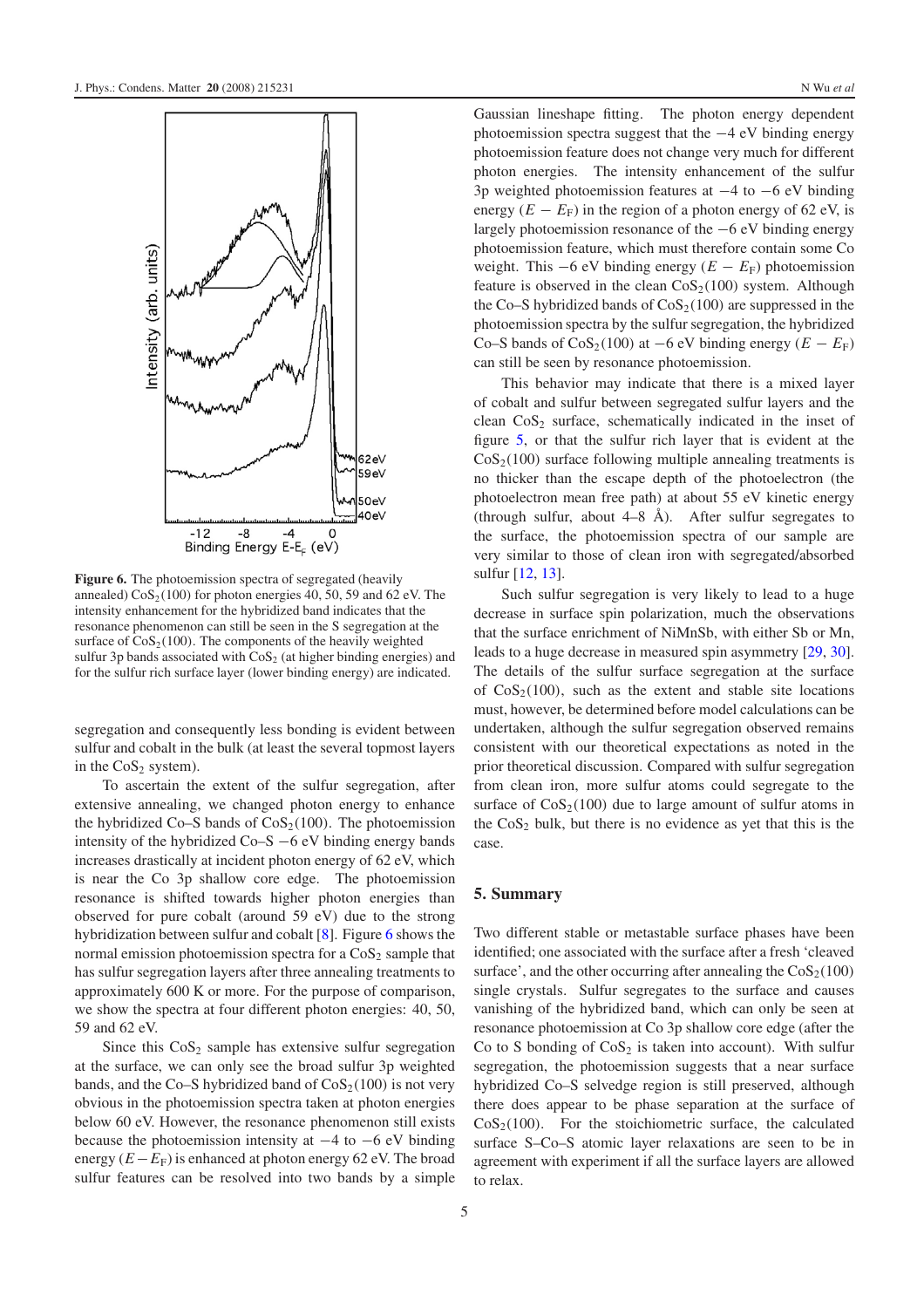<span id="page-6-0"></span>

**Figure 6.** The photoemission spectra of segregated (heavily annealed)  $\cos_2(100)$  for photon energies 40, 50, 59 and 62 eV. The intensity enhancement for the hybridized band indicates that the resonance phenomenon can still be seen in the S segregation at the surface of  $\cos_2(100)$ . The components of the heavily weighted sulfur 3p bands associated with  $\cos_2$  (at higher binding energies) and for the sulfur rich surface layer (lower binding energy) are indicated.

segregation and consequently less bonding is evident between sulfur and cobalt in the bulk (at least the several topmost layers in the  $CoS<sub>2</sub>$  system).

To ascertain the extent of the sulfur segregation, after extensive annealing, we changed photon energy to enhance the hybridized Co–S bands of  $\cos_2(100)$ . The photoemission intensity of the hybridized Co–S −6 eV binding energy bands increases drastically at incident photon energy of 62 eV, which is near the Co 3p shallow core edge. The photoemission resonance is shifted towards higher photon energies than observed for pure cobalt (around 59 eV) due to the strong hybridization between sulfur and cobalt [\[8\]](#page-7-2). Figure [6](#page-6-0) shows the normal emission photoemission spectra for a  $CoS<sub>2</sub>$  sample that has sulfur segregation layers after three annealing treatments to approximately 600 K or more. For the purpose of comparison, we show the spectra at four different photon energies: 40, 50, 59 and 62 eV.

Since this  $\cos_2$  sample has extensive sulfur segregation at the surface, we can only see the broad sulfur 3p weighted bands, and the Co–S hybridized band of  $\cos_2(100)$  is not very obvious in the photoemission spectra taken at photon energies below 60 eV. However, the resonance phenomenon still exists because the photoemission intensity at  $-4$  to  $-6$  eV binding energy  $(E - E_F)$  is enhanced at photon energy 62 eV. The broad sulfur features can be resolved into two bands by a simple

Gaussian lineshape fitting. The photon energy dependent photoemission spectra suggest that the −4 eV binding energy photoemission feature does not change very much for different photon energies. The intensity enhancement of the sulfur 3p weighted photoemission features at −4 to −6 eV binding energy  $(E - E_F)$  in the region of a photon energy of 62 eV, is largely photoemission resonance of the −6 eV binding energy photoemission feature, which must therefore contain some Co weight. This  $-6$  eV binding energy  $(E - E_F)$  photoemission feature is observed in the clean  $\cos_2(100)$  system. Although the Co–S hybridized bands of  $\cos_2(100)$  are suppressed in the photoemission spectra by the sulfur segregation, the hybridized Co–S bands of  $\cos_2(100)$  at  $-6$  eV binding energy  $(E - E_F)$ can still be seen by resonance photoemission.

This behavior may indicate that there is a mixed layer of cobalt and sulfur between segregated sulfur layers and the clean  $CoS<sub>2</sub>$  surface, schematically indicated in the inset of figure [5,](#page-5-1) or that the sulfur rich layer that is evident at the  $\cos_2(100)$  surface following multiple annealing treatments is no thicker than the escape depth of the photoelectron (the photoelectron mean free path) at about 55 eV kinetic energy (through sulfur, about  $4-8$  Å). After sulfur segregates to the surface, the photoemission spectra of our sample are very similar to those of clean iron with segregated/absorbed sulfur [\[12,](#page-7-6) [13\]](#page-7-7).

Such sulfur segregation is very likely to lead to a huge decrease in surface spin polarization, much the observations that the surface enrichment of NiMnSb, with either Sb or Mn, leads to a huge decrease in measured spin asymmetry [\[29,](#page-7-20) [30\]](#page-7-21). The details of the sulfur surface segregation at the surface of  $CoS<sub>2</sub>(100)$ , such as the extent and stable site locations must, however, be determined before model calculations can be undertaken, although the sulfur segregation observed remains consistent with our theoretical expectations as noted in the prior theoretical discussion. Compared with sulfur segregation from clean iron, more sulfur atoms could segregate to the surface of  $\cos_2(100)$  due to large amount of sulfur atoms in the  $\cos_2$  bulk, but there is no evidence as yet that this is the case.

#### **5. Summary**

Two different stable or metastable surface phases have been identified; one associated with the surface after a fresh 'cleaved surface', and the other occurring after annealing the  $\cos_2(100)$ single crystals. Sulfur segregates to the surface and causes vanishing of the hybridized band, which can only be seen at resonance photoemission at Co 3p shallow core edge (after the Co to S bonding of  $CoS<sub>2</sub>$  is taken into account). With sulfur segregation, the photoemission suggests that a near surface hybridized Co–S selvedge region is still preserved, although there does appear to be phase separation at the surface of  $\cos_2(100)$ . For the stoichiometric surface, the calculated surface S–Co–S atomic layer relaxations are seen to be in agreement with experiment if all the surface layers are allowed to relax.